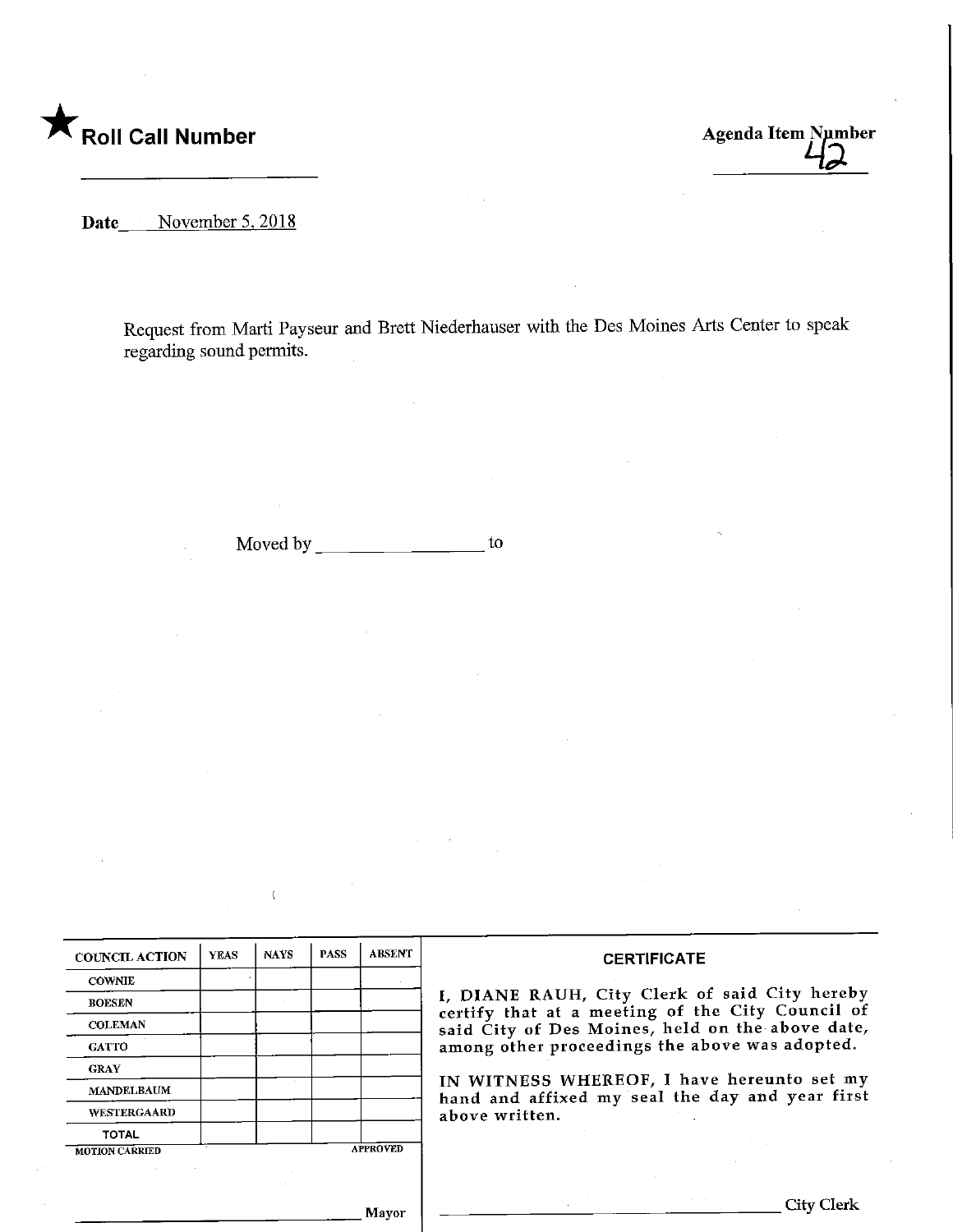

Roll Call Number Agenda Item Number<br>
Agenda Item Number

Date November 5, 2018

Request from Marti Payseur and Brett Niederhauser with the Des Moines Arts Center to speak regarding sound permits.

Moved by  $\begin{array}{c} \hline \end{array}$  to

 $\bar{\mathbf{t}}$ 

| <b>COWNIE</b><br>I, DIANE RAUH, City Clerk of said City hereby<br><b>BOESEN</b><br>certify that at a meeting of the City Council of<br><b>COLEMAN</b><br>said City of Des Moines, held on the above date,<br>among other proceedings the above was adopted.<br><b>GATTO</b><br><b>GRAY</b><br>IN WITNESS WHEREOF, I have hereunto set my<br><b>MANDELBAUM</b><br>hand and affixed my seal the day and year first<br><b>WESTERGAARD</b><br>above written.<br><b>TOTAL</b><br><b>APPROVED</b> |  |  |  |  |  |
|---------------------------------------------------------------------------------------------------------------------------------------------------------------------------------------------------------------------------------------------------------------------------------------------------------------------------------------------------------------------------------------------------------------------------------------------------------------------------------------------|--|--|--|--|--|
|                                                                                                                                                                                                                                                                                                                                                                                                                                                                                             |  |  |  |  |  |
|                                                                                                                                                                                                                                                                                                                                                                                                                                                                                             |  |  |  |  |  |
|                                                                                                                                                                                                                                                                                                                                                                                                                                                                                             |  |  |  |  |  |
| <b>MOTION CARRIED</b>                                                                                                                                                                                                                                                                                                                                                                                                                                                                       |  |  |  |  |  |
|                                                                                                                                                                                                                                                                                                                                                                                                                                                                                             |  |  |  |  |  |
|                                                                                                                                                                                                                                                                                                                                                                                                                                                                                             |  |  |  |  |  |
|                                                                                                                                                                                                                                                                                                                                                                                                                                                                                             |  |  |  |  |  |
|                                                                                                                                                                                                                                                                                                                                                                                                                                                                                             |  |  |  |  |  |
|                                                                                                                                                                                                                                                                                                                                                                                                                                                                                             |  |  |  |  |  |

Mayor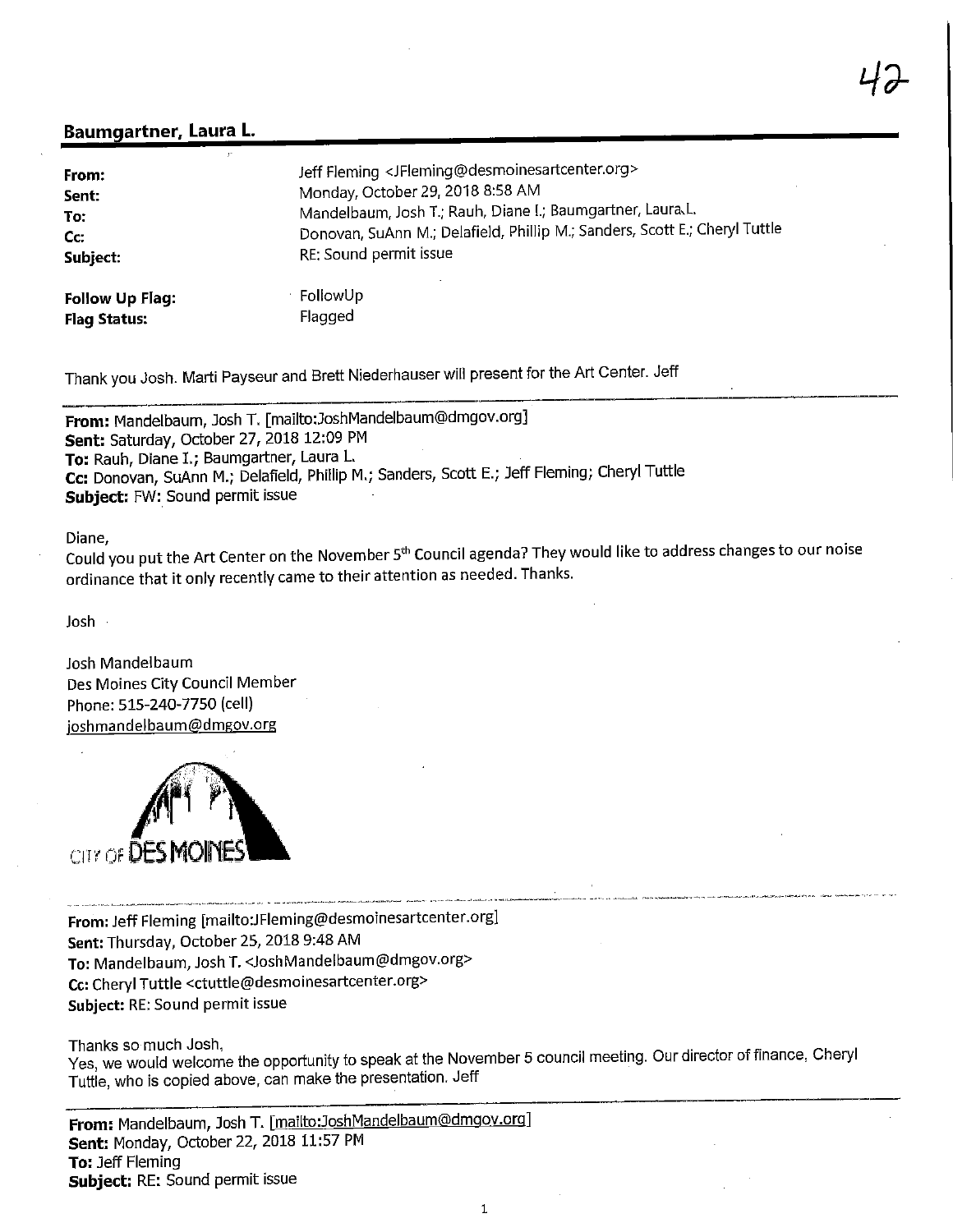## Baumgartner, Laura L.

| From:                  | Jeff Fleming <jfleming@desmoinesartcenter.org></jfleming@desmoinesartcenter.org> |
|------------------------|----------------------------------------------------------------------------------|
| Sent:                  | Monday, October 29, 2018 8:58 AM                                                 |
| To:                    | Mandelbaum, Josh T.; Rauh, Diane I.; Baumgartner, Laura.L.                       |
| Cc:                    | Donovan, SuAnn M.; Delafield, Phillip M.; Sanders, Scott E.; Cheryl Tuttle       |
| Subject:               | RE: Sound permit issue                                                           |
| <b>Follow Up Flag:</b> | FollowUp                                                                         |
| <b>Flag Status:</b>    | Flagged                                                                          |

Thank you Josh. Marti Payseur and Brett Niederhauser will present for the Art Center. Jeff

From: Mandelbaum, Josh T. [mailto:JoshMandelbaum@dmgov.org] Sent: Saturday, October 27, 2018 12:09 PM To: Rauh, Diane I.; Baumgartner, Laura L. Cc: Donovan, SuAnn M.; Delafield, Phillip M.; Sanders, Scott E.; Jeff Fleming; Cheryl Tuttle Subject: FW: Sound permit issue

## liane,

Could you put the Art Center on the November 5th Council agenda? They would like to address changes to our noise ordinance that it only recently came to their attention as needed.Thanks.

Josh

Josh Mandelbaum Des Moines City Council Member Phone: 515-240-7750 (cell) ioshmandelbaum@dmgov.org



From: Jeff Fleming [mailto:JFleming@desmoinesartcenter.org] Sent: Thursday, October 25, 2018 9:48 AM To: Mandelbaum, Josh T. <JoshMandelbaum@dmgov.org> Cc: Cheryl Tuttle <ctuttle@desmoinesartcenter.org> Subject: RE: Sound permit issue

Thanks so much Josh,

Yes, we would welcome the opportunity to speak at the November 5 council meeting. Our director of finance, Cheryl Tuttle, who is copied above, can make the presentation. Jeff

From: Mandelbaum, Josh T. [mailto:JoshMandelbaum@dmgov.org] Sent: Monday, October 22, 2018 11:57 PM To: Jeff Fleming Subject: RE: Sound permit issue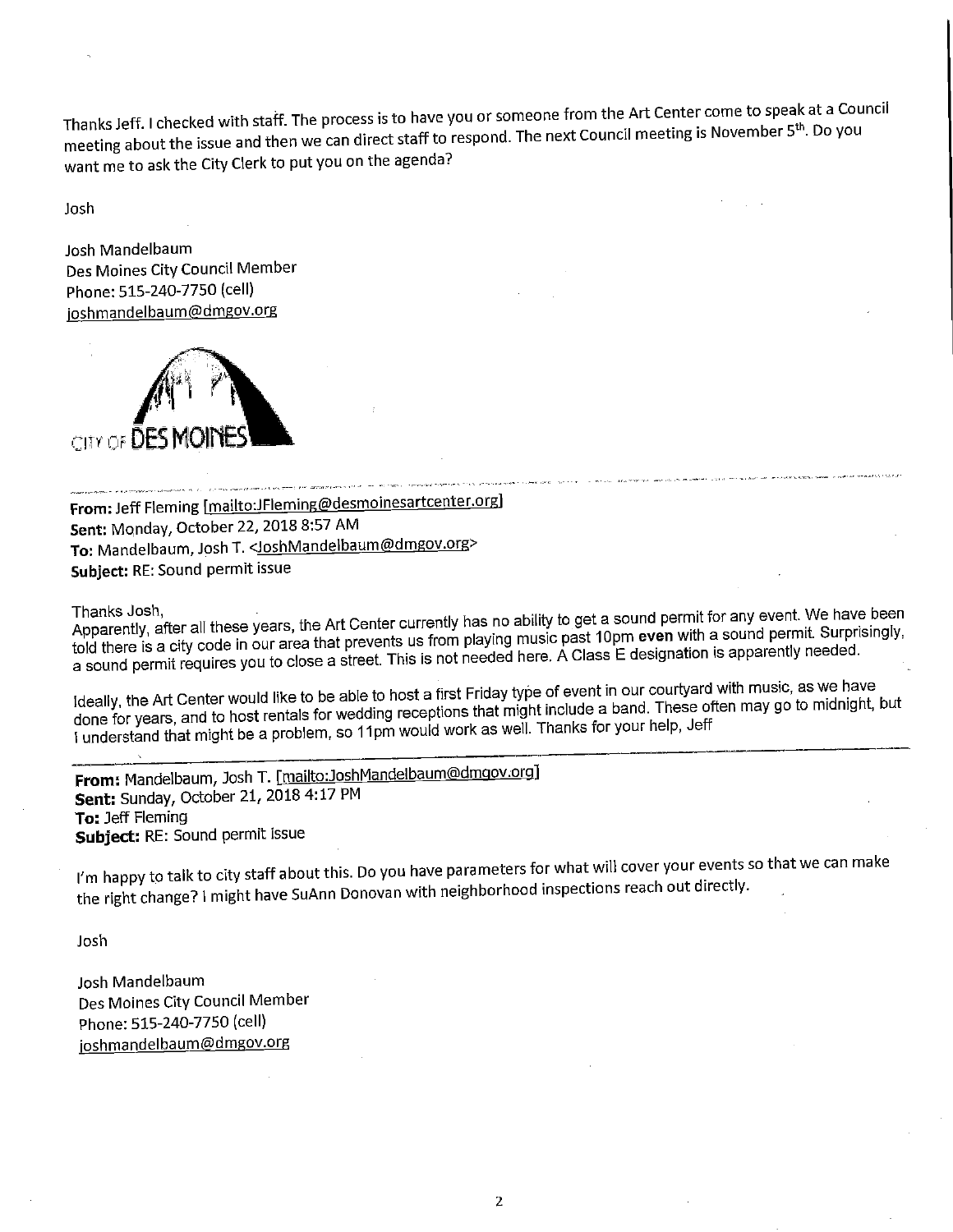Thanks Jeff. I checked with staff. The process is to have you or someone from the Art Center come to speak at a Council meeting about the issue and then we can direct staff to respond. The next Council meeting is November 5<sup>th</sup>. Do you want me to ask the City Clerk to put you on the agenda?

Josh

Josh Mandelbaum Des Moines City Council Member Phone: 515-240-7750 (cell) ioshmandelbaum@dmgov.org



From: Jeff Fleming [mailto:JFleming@desmoinesartcenter.org] Sent: Monday, October 22, 2018 8:57 AM To: Mandelbaum, Josh T. < Josh Mandelbaum@dmgov.org> Subject: RE: Sound permit issue

Apparently, after all these years, the Art Center currently has no ability to get a sound permit for any event. We have been told there is a city code in our area that prevents us from playing music past 10pm even with a sound permit. Surprisingly, Id there is a city code in our area that prevents us from playing music a Class F designation is apparently needed. sound permit requires you to close a street. This is not necessarion is approximately designation is approximately

leally, the Art Center would like to be able to host a first Fright include a band. These often may go to midnight, one for years, and to host rentals for wedding receptions that might hanks for your help. Jeff I understand that might be a problem, so 11pm would work as well. Thanks for your help, Jeff

From: Mandelbaum, Josh T. [mailto:JoshMandelbaum@dmgov.org] Sent: Sunday, October 21, 2018 4:17 PM To: Jeff Fleming Subject: RE: Sound permit issue

I'm happy to talk to city staff about this. Do you have parameters for what will cover your events so that we can make the right change? 1 might have SuAnn Donovan with neighborhood inspections reach out directly.

Josh

Josh Mandelbaum Des Moines City Council Member Phone: 515-240-7750 (cell) joshmandelbaum@dmgov.org